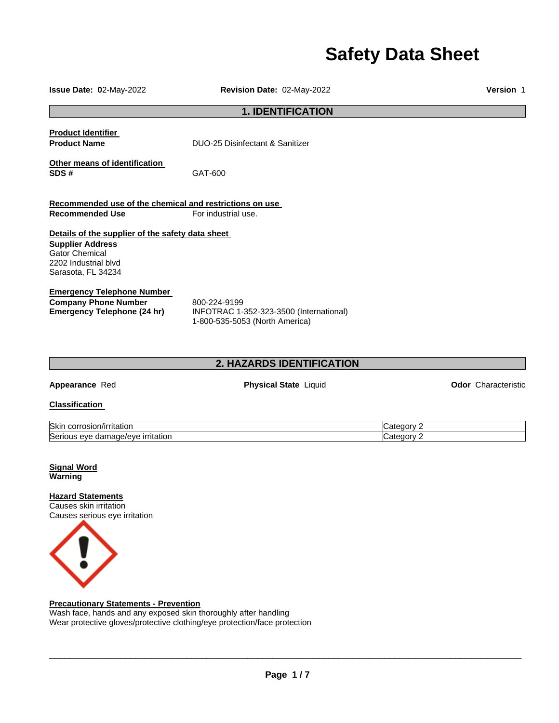# **Safety Data Sheet**

| Issue Date: 02-May-2022                                                                                                                            | Revision Date: 02-May-2022                                                                |                          | <b>Version 1</b>           |
|----------------------------------------------------------------------------------------------------------------------------------------------------|-------------------------------------------------------------------------------------------|--------------------------|----------------------------|
|                                                                                                                                                    | <b>1. IDENTIFICATION</b>                                                                  |                          |                            |
| <b>Product Identifier</b><br><b>Product Name</b>                                                                                                   | DUO-25 Disinfectant & Sanitizer                                                           |                          |                            |
| Other means of identification<br>SDS#                                                                                                              | GAT-600                                                                                   |                          |                            |
| Recommended use of the chemical and restrictions on use                                                                                            |                                                                                           |                          |                            |
| <b>Recommended Use</b>                                                                                                                             | For industrial use.                                                                       |                          |                            |
| Details of the supplier of the safety data sheet<br><b>Supplier Address</b><br><b>Gator Chemical</b><br>2202 Industrial blvd<br>Sarasota, FL 34234 |                                                                                           |                          |                            |
| <b>Emergency Telephone Number</b><br><b>Company Phone Number</b><br><b>Emergency Telephone (24 hr)</b>                                             | 800-224-9199<br>INFOTRAC 1-352-323-3500 (International)<br>1-800-535-5053 (North America) |                          |                            |
|                                                                                                                                                    | 2. HAZARDS IDENTIFICATION                                                                 |                          |                            |
| Appearance Red                                                                                                                                     | <b>Physical State Liquid</b>                                                              |                          | <b>Odor</b> Characteristic |
| <b>Classification</b>                                                                                                                              |                                                                                           |                          |                            |
| Skin corrosion/irritation<br>Serious eye damage/eye irritation                                                                                     |                                                                                           | Category 2<br>Category 2 |                            |
| <b>Signal Word</b><br>Warning                                                                                                                      |                                                                                           |                          |                            |
| <b>Hazard Statements</b><br>Causes skin irritation<br>Causes serious eye irritation                                                                |                                                                                           |                          |                            |



**Precautionary Statements - Prevention**

Wash face, hands and any exposed skin thoroughly after handling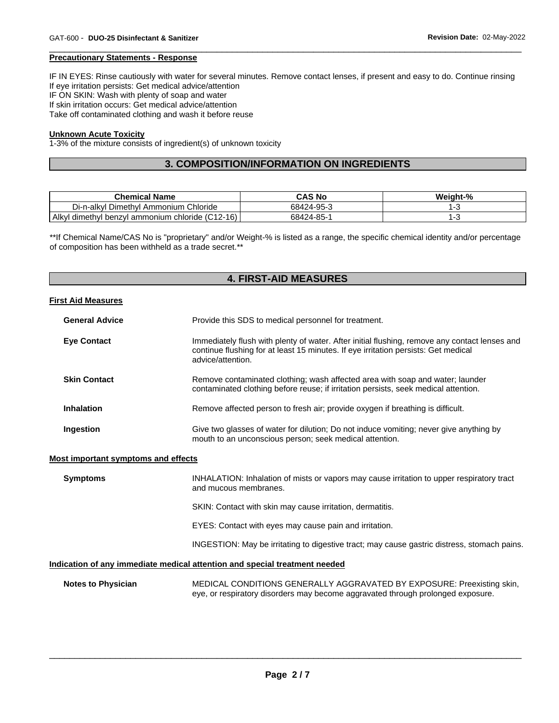#### **Precautionary Statements - Response**

IF IN EYES: Rinse cautiously with water for several minutes. Remove contact lenses, if present and easy to do. Continue rinsing If eye irritation persists: Get medical advice/attention IF ON SKIN: Wash with plenty of soap and water If skin irritation occurs: Get medical advice/attention Take off contaminated clothing and wash it before reuse

\_\_\_\_\_\_\_\_\_\_\_\_\_\_\_\_\_\_\_\_\_\_\_\_\_\_\_\_\_\_\_\_\_\_\_\_\_\_\_\_\_\_\_\_\_\_\_\_\_\_\_\_\_\_\_\_\_\_\_\_\_\_\_\_\_\_\_\_\_\_\_\_\_\_\_\_\_\_\_\_\_\_\_\_\_\_\_\_\_\_\_\_\_

#### **Unknown Acute Toxicity**

1-3% of the mixture consists of ingredient(s) of unknown toxicity

# **3. COMPOSITION/INFORMATION ON INGREDIENTS**

| <b>Chemical Name</b>                                  | CAS No     | Weight-% |
|-------------------------------------------------------|------------|----------|
| Di-n-alkyl Dimethyl Ammonium<br>Chloride              | 68424-95-3 |          |
| l dimethyl benzyl ammonium chloride (C12-16)<br>Alkyl | 68424-85-1 |          |

\*\*If Chemical Name/CAS No is "proprietary" and/or Weight-% is listed as a range, the specific chemical identity and/or percentage of composition has been withheld as a trade secret.\*\*

# **4. FIRST-AID MEASURES**

#### **First Aid Measures**

| <b>General Advice</b> | Provide this SDS to medical personnel for treatment.                                                                                                                                                     |  |
|-----------------------|----------------------------------------------------------------------------------------------------------------------------------------------------------------------------------------------------------|--|
| <b>Eye Contact</b>    | Immediately flush with plenty of water. After initial flushing, remove any contact lenses and<br>continue flushing for at least 15 minutes. If eye irritation persists: Get medical<br>advice/attention. |  |
| <b>Skin Contact</b>   | Remove contaminated clothing; wash affected area with soap and water; launder<br>contaminated clothing before reuse; if irritation persists, seek medical attention.                                     |  |
| <b>Inhalation</b>     | Remove affected person to fresh air; provide oxygen if breathing is difficult.                                                                                                                           |  |
| Ingestion             | Give two glasses of water for dilution; Do not induce vomiting; never give anything by<br>mouth to an unconscious person; seek medical attention.                                                        |  |

#### **Most important symptoms and effects**

| <b>Symptoms</b>           | INHALATION: Inhalation of mists or vapors may cause irritation to upper respiratory tract<br>and mucous membranes.                                        |
|---------------------------|-----------------------------------------------------------------------------------------------------------------------------------------------------------|
|                           | SKIN: Contact with skin may cause irritation, dermatitis.                                                                                                 |
|                           | EYES: Contact with eyes may cause pain and irritation.                                                                                                    |
|                           | INGESTION: May be irritating to digestive tract; may cause gastric distress, stomach pains.                                                               |
|                           | Indication of any immediate medical attention and special treatment needed                                                                                |
| <b>Notes to Physician</b> | MEDICAL CONDITIONS GENERALLY AGGRAVATED BY EXPOSURE: Preexisting skin,<br>eye, or respiratory disorders may become aggravated through prolonged exposure. |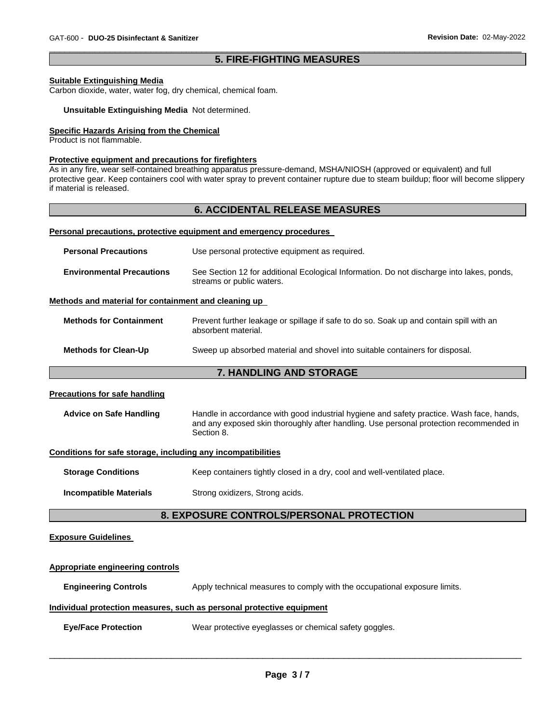# \_\_\_\_\_\_\_\_\_\_\_\_\_\_\_\_\_\_\_\_\_\_\_\_\_\_\_\_\_\_\_\_\_\_\_\_\_\_\_\_\_\_\_\_\_\_\_\_\_\_\_\_\_\_\_\_\_\_\_\_\_\_\_\_\_\_\_\_\_\_\_\_\_\_\_\_\_\_\_\_\_\_\_\_\_\_\_\_\_\_\_\_\_ **5. FIRE-FIGHTING MEASURES**

#### **Suitable Extinguishing Media**

Carbon dioxide, water, water fog, dry chemical, chemical foam.

#### **Unsuitable Extinguishing Media** Not determined.

# **Specific Hazards Arising from the Chemical**

Product is not flammable.

#### **Protective equipment and precautions for firefighters**

As in any fire, wear self-contained breathing apparatus pressure-demand, MSHA/NIOSH (approved or equivalent) and full protective gear. Keep containers cool with water spray to prevent container rupture due to steam buildup; floor will become slippery if material is released.

### **6. ACCIDENTAL RELEASE MEASURES**

#### **Personal precautions, protective equipment and emergency procedures**

| <b>Personal Precautions</b>      | Use personal protective equipment as required.                                                                         |
|----------------------------------|------------------------------------------------------------------------------------------------------------------------|
| <b>Environmental Precautions</b> | See Section 12 for additional Ecological Information. Do not discharge into lakes, ponds,<br>streams or public waters. |

#### **Methods and material for containment and cleaning up**

| <b>Methods for Containment</b> | Prevent further leakage or spillage if safe to do so. Soak up and contain spill with an<br>absorbent material. |
|--------------------------------|----------------------------------------------------------------------------------------------------------------|
| <b>Methods for Clean-Up</b>    | Sweep up absorbed material and shovel into suitable containers for disposal.                                   |
|                                |                                                                                                                |

# **7. HANDLING AND STORAGE**

#### **Precautions for safe handling**

| Handle in accordance with good industrial hygiene and safety practice. Wash face, hands, |
|------------------------------------------------------------------------------------------|
| and any exposed skin thoroughly after handling. Use personal protection recommended in   |
|                                                                                          |

#### **Conditions for safe storage, including any incompatibilities**

| <b>Storage Conditions</b> | Keep containers tightly closed in a dry, cool and well-ventilated place. |
|---------------------------|--------------------------------------------------------------------------|
|                           |                                                                          |

**Incompatible Materials Strong oxidizers, Strong acids.** 

# **8. EXPOSURE CONTROLS/PERSONAL PROTECTION**

# **Exposure Guidelines**

# **Appropriate engineering controls Engineering Controls Apply technical measures to comply with the occupational exposure limits. Individual protection measures, such as personal protective equipment**

**Eye/Face Protection** Wear protective eyeglasses or chemical safety goggles.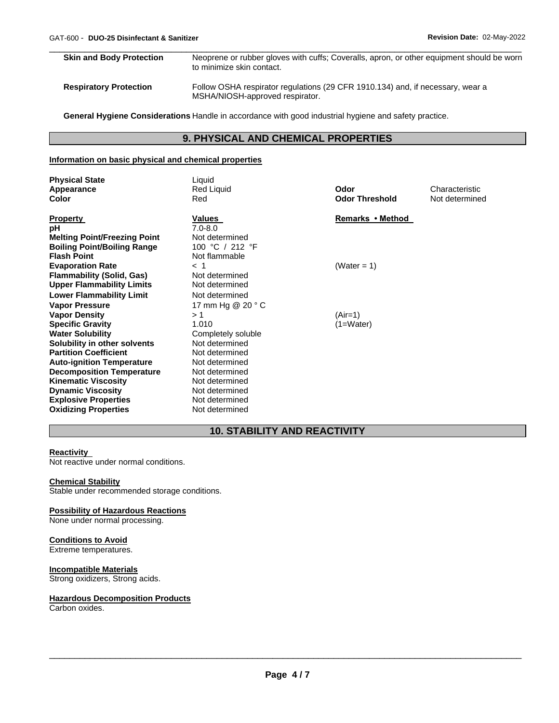| <b>Skin and Body Protection</b> | Neoprene or rubber gloves with cuffs; Coveralls, apron, or other equipment should be worn<br>to minimize skin contact. |
|---------------------------------|------------------------------------------------------------------------------------------------------------------------|
| <b>Respiratory Protection</b>   | Follow OSHA respirator regulations (29 CFR 1910.134) and, if necessary, wear a<br>MSHA/NIOSH-approved respirator.      |

\_\_\_\_\_\_\_\_\_\_\_\_\_\_\_\_\_\_\_\_\_\_\_\_\_\_\_\_\_\_\_\_\_\_\_\_\_\_\_\_\_\_\_\_\_\_\_\_\_\_\_\_\_\_\_\_\_\_\_\_\_\_\_\_\_\_\_\_\_\_\_\_\_\_\_\_\_\_\_\_\_\_\_\_\_\_\_\_\_\_\_\_\_

**General Hygiene Considerations** Handle in accordance with good industrial hygiene and safety practice.

# **9. PHYSICAL AND CHEMICAL PROPERTIES**

# **Information on basic physical and chemical properties**

| <b>Physical State</b><br>Appearance<br><b>Color</b>                 | Liquid<br>Red Liquid<br>Red          | Odor<br><b>Odor Threshold</b> | Characteristic<br>Not determined |
|---------------------------------------------------------------------|--------------------------------------|-------------------------------|----------------------------------|
| <b>Property</b><br>рH                                               | Values<br>$7.0 - 8.0$                | Remarks • Method              |                                  |
| <b>Melting Point/Freezing Point</b>                                 | Not determined<br>100 °C / 212 °F    |                               |                                  |
| <b>Boiling Point/Boiling Range</b><br><b>Flash Point</b>            | Not flammable                        |                               |                                  |
| <b>Evaporation Rate</b>                                             | $<$ 1                                | (Water = 1)                   |                                  |
| <b>Flammability (Solid, Gas)</b>                                    | Not determined                       |                               |                                  |
| <b>Upper Flammability Limits</b><br><b>Lower Flammability Limit</b> | Not determined<br>Not determined     |                               |                                  |
| <b>Vapor Pressure</b>                                               | 17 mm Hg @ 20 ° C                    |                               |                                  |
| <b>Vapor Density</b>                                                | >1                                   | $(Air=1)$                     |                                  |
| <b>Specific Gravity</b>                                             | 1.010                                | $(1=Water)$                   |                                  |
| <b>Water Solubility</b>                                             | Completely soluble<br>Not determined |                               |                                  |
| Solubility in other solvents<br><b>Partition Coefficient</b>        | Not determined                       |                               |                                  |
| <b>Auto-ignition Temperature</b>                                    | Not determined                       |                               |                                  |
| <b>Decomposition Temperature</b>                                    | Not determined                       |                               |                                  |
| <b>Kinematic Viscosity</b>                                          | Not determined                       |                               |                                  |
| <b>Dynamic Viscosity</b><br><b>Explosive Properties</b>             | Not determined<br>Not determined     |                               |                                  |
| <b>Oxidizing Properties</b>                                         | Not determined                       |                               |                                  |

# **10. STABILITY AND REACTIVITY**

# **Reactivity**

Not reactive under normal conditions.

#### **Chemical Stability**

Stable under recommended storage conditions.

#### **Possibility of Hazardous Reactions**

None under normal processing.

# **Conditions to Avoid**

Extreme temperatures.

# **Incompatible Materials**

Strong oxidizers, Strong acids.

#### **Hazardous Decomposition Products**

Carbon oxides.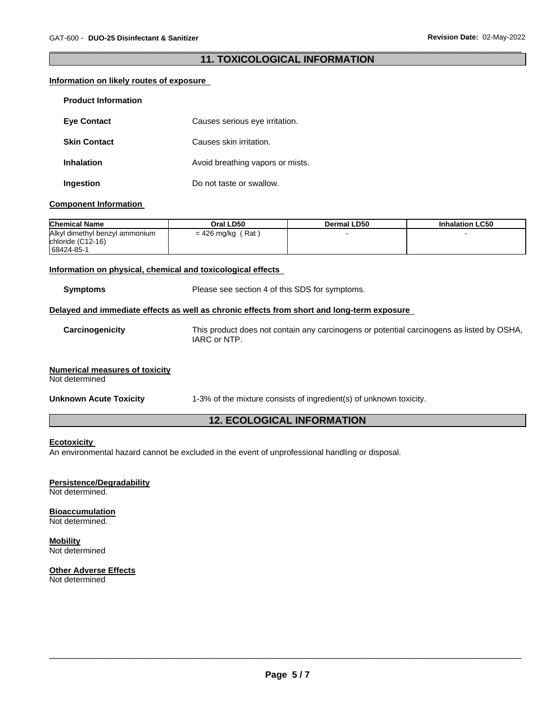# \_\_\_\_\_\_\_\_\_\_\_\_\_\_\_\_\_\_\_\_\_\_\_\_\_\_\_\_\_\_\_\_\_\_\_\_\_\_\_\_\_\_\_\_\_\_\_\_\_\_\_\_\_\_\_\_\_\_\_\_\_\_\_\_\_\_\_\_\_\_\_\_\_\_\_\_\_\_\_\_\_\_\_\_\_\_\_\_\_\_\_\_\_ **11. TOXICOLOGICAL INFORMATION**

# **Information on likely routes of exposure**

| <b>Product Information</b> |                                  |
|----------------------------|----------------------------------|
| <b>Eye Contact</b>         | Causes serious eye irritation.   |
| <b>Skin Contact</b>        | Causes skin irritation.          |
| <b>Inhalation</b>          | Avoid breathing vapors or mists. |
| Ingestion                  | Do not taste or swallow.         |

#### **Component Information**

| <b>Chemical Name</b>                                              | Oral LD50           | Dermal LD50 | <b>Inhalation LC50</b> |
|-------------------------------------------------------------------|---------------------|-------------|------------------------|
| Alkyl dimethyl benzyl ammonium<br>chloride (C12-16)<br>68424-85-1 | $= 426$ mg/kg (Rat) |             |                        |

#### **Information on physical, chemical and toxicological effects**

| <b>Symptoms</b>                                         | Please see section 4 of this SDS for symptoms.                                                            |  |  |  |  |
|---------------------------------------------------------|-----------------------------------------------------------------------------------------------------------|--|--|--|--|
|                                                         | Delayed and immediate effects as well as chronic effects from short and long-term exposure                |  |  |  |  |
| Carcinogenicity                                         | This product does not contain any carcinogens or potential carcinogens as listed by OSHA,<br>IARC or NTP. |  |  |  |  |
| <b>Numerical measures of toxicity</b><br>Not determined |                                                                                                           |  |  |  |  |
| <b>Unknown Acute Toxicity</b>                           | 1-3% of the mixture consists of ingredient(s) of unknown toxicity.                                        |  |  |  |  |
| <b>12. ECOLOGICAL INFORMATION</b>                       |                                                                                                           |  |  |  |  |

# **Ecotoxicity**

An environmental hazard cannot be excluded in the event of unprofessional handling or disposal.

# **Persistence/Degradability**

Not determined.

#### **Bioaccumulation** Not determined.

**Mobility** Not determined

#### **Other Adverse Effects** Not determined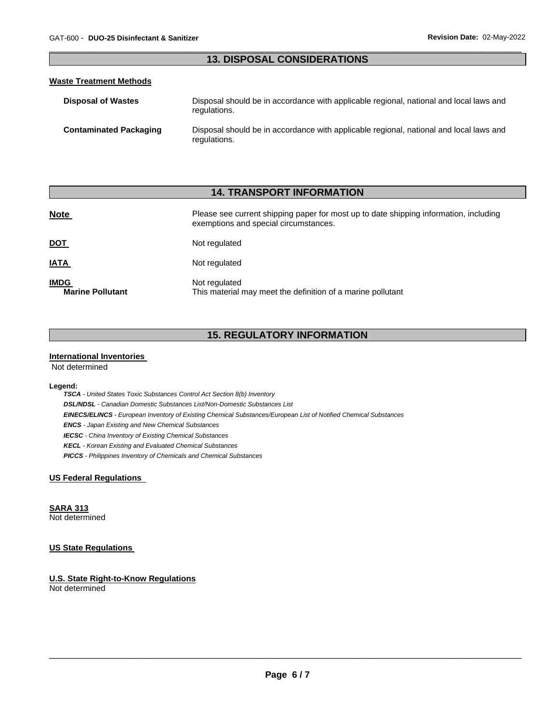# \_\_\_\_\_\_\_\_\_\_\_\_\_\_\_\_\_\_\_\_\_\_\_\_\_\_\_\_\_\_\_\_\_\_\_\_\_\_\_\_\_\_\_\_\_\_\_\_\_\_\_\_\_\_\_\_\_\_\_\_\_\_\_\_\_\_\_\_\_\_\_\_\_\_\_\_\_\_\_\_\_\_\_\_\_\_\_\_\_\_\_\_\_ **13. DISPOSAL CONSIDERATIONS**

### **Waste Treatment Methods**

| <b>Disposal of Wastes</b>     | Disposal should be in accordance with applicable regional, national and local laws and<br>regulations. |
|-------------------------------|--------------------------------------------------------------------------------------------------------|
| <b>Contaminated Packaging</b> | Disposal should be in accordance with applicable regional, national and local laws and<br>regulations. |

# **14. TRANSPORT INFORMATION**

| <b>Note</b>                            | Please see current shipping paper for most up to date shipping information, including<br>exemptions and special circumstances. |  |  |
|----------------------------------------|--------------------------------------------------------------------------------------------------------------------------------|--|--|
| <u>DOT</u>                             | Not regulated                                                                                                                  |  |  |
| <u>IATA</u>                            | Not regulated                                                                                                                  |  |  |
| <b>IMDG</b><br><b>Marine Pollutant</b> | Not regulated<br>This material may meet the definition of a marine pollutant                                                   |  |  |

# **15. REGULATORY INFORMATION**

### **International Inventories**

Not determined

#### **Legend:**

*TSCA - United States Toxic Substances Control Act Section 8(b) Inventory DSL/NDSL - Canadian Domestic Substances List/Non-Domestic Substances List EINECS/ELINCS - European Inventory of Existing Chemical Substances/European List of Notified Chemical Substances ENCS - Japan Existing and New Chemical Substances IECSC - China Inventory of Existing Chemical Substances KECL - Korean Existing and Evaluated Chemical Substances PICCS - Philippines Inventory of Chemicals and Chemical Substances* 

# **US Federal Regulations**

**SARA 313**

Not determined

# **US State Regulations**

**U.S. State Right-to-Know Regulations** Not determined